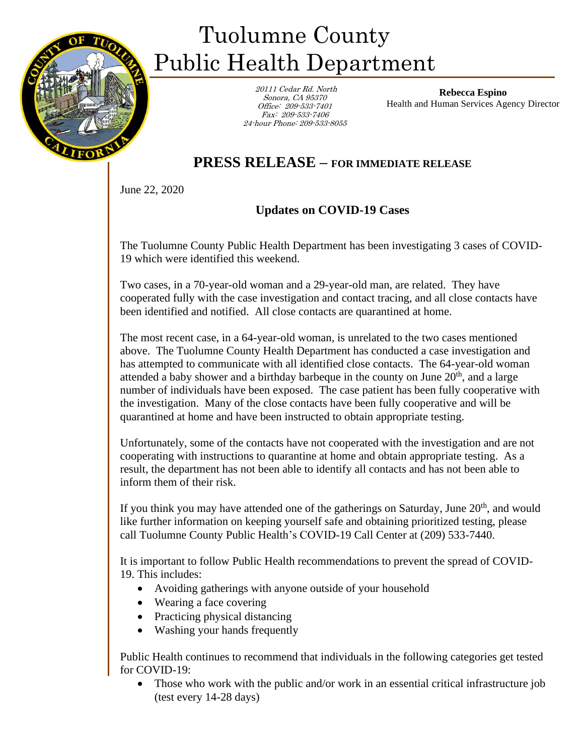

## Tuolumne County Public Health Department

 20111 Cedar Rd. North Sonora, CA 95370 Office: 209-533-7401 Fax: 209-533-7406 24-hour Phone: 209-533-8055

**Rebecca Espino** Health and Human Services Agency Director

## **PRESS RELEASE – FOR IMMEDIATE RELEASE**

June 22, 2020

## **Updates on COVID-19 Cases**

The Tuolumne County Public Health Department has been investigating 3 cases of COVID-19 which were identified this weekend.

Two cases, in a 70-year-old woman and a 29-year-old man, are related. They have cooperated fully with the case investigation and contact tracing, and all close contacts have been identified and notified. All close contacts are quarantined at home.

The most recent case, in a 64-year-old woman, is unrelated to the two cases mentioned above. The Tuolumne County Health Department has conducted a case investigation and has attempted to communicate with all identified close contacts. The 64-year-old woman attended a baby shower and a birthday barbeque in the county on June  $20<sup>th</sup>$ , and a large number of individuals have been exposed. The case patient has been fully cooperative with the investigation. Many of the close contacts have been fully cooperative and will be quarantined at home and have been instructed to obtain appropriate testing.

Unfortunately, some of the contacts have not cooperated with the investigation and are not cooperating with instructions to quarantine at home and obtain appropriate testing. As a result, the department has not been able to identify all contacts and has not been able to inform them of their risk.

If you think you may have attended one of the gatherings on Saturday, June  $20<sup>th</sup>$ , and would like further information on keeping yourself safe and obtaining prioritized testing, please call Tuolumne County Public Health's COVID-19 Call Center at (209) 533-7440.

It is important to follow Public Health recommendations to prevent the spread of COVID-19. This includes:

- Avoiding gatherings with anyone outside of your household
- Wearing a face covering
- Practicing physical distancing
- Washing your hands frequently

Public Health continues to recommend that individuals in the following categories get tested for COVID-19:

• Those who work with the public and/or work in an essential critical infrastructure job (test every 14-28 days)